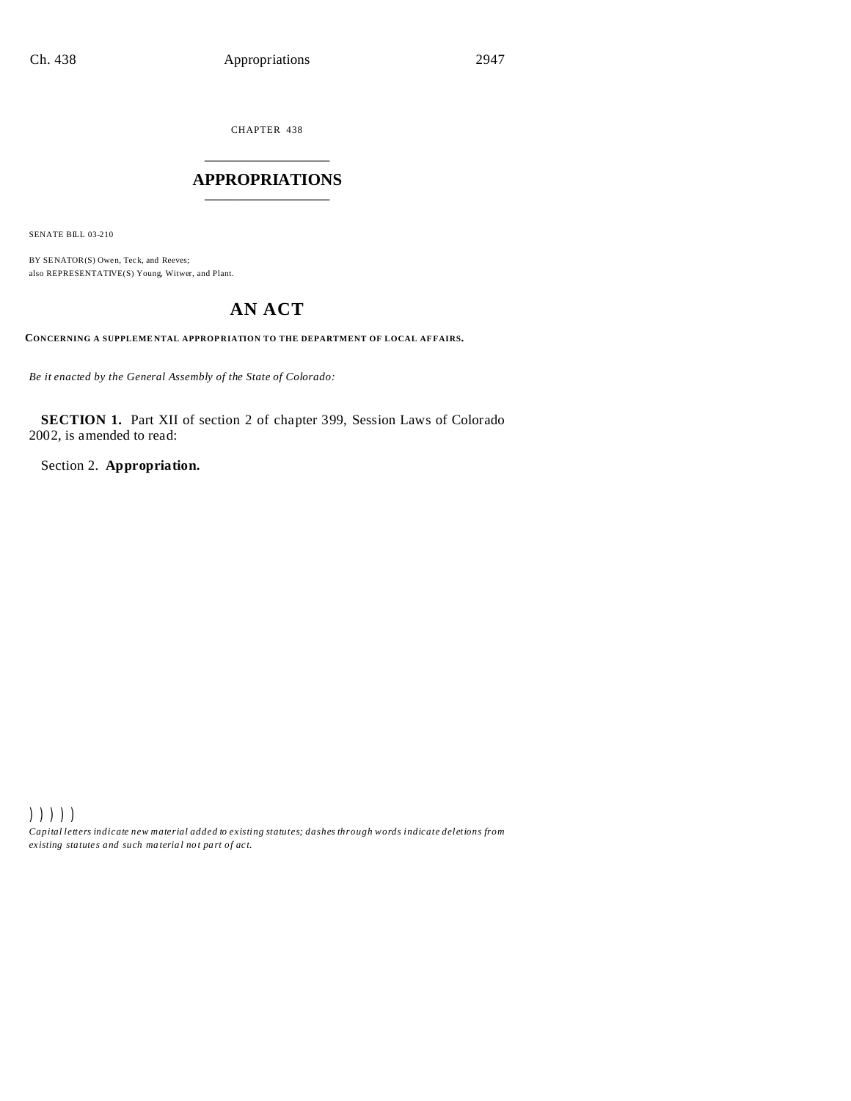CHAPTER 438 \_\_\_\_\_\_\_\_\_\_\_\_\_\_\_

## **APPROPRIATIONS** \_\_\_\_\_\_\_\_\_\_\_\_\_\_\_

SENATE BILL 03-210

BY SENATOR(S) Owen, Teck, and Reeves; also REPRESENTATIVE(S) Young, Witwer, and Plant.

# **AN ACT**

**CONCERNING A SUPPLEME NTAL APPROP RIATION TO THE DEPARTMENT OF LOCAL AF FAIRS.**

*Be it enacted by the General Assembly of the State of Colorado:*

**SECTION 1.** Part XII of section 2 of chapter 399, Session Laws of Colorado 2002, is amended to read:

Section 2. **Appropriation.**

))))) *Capital letters indicate new material added to existing statutes; dashes through words indicate deletions from ex isting statute s and such ma teria l no t pa rt of ac t.*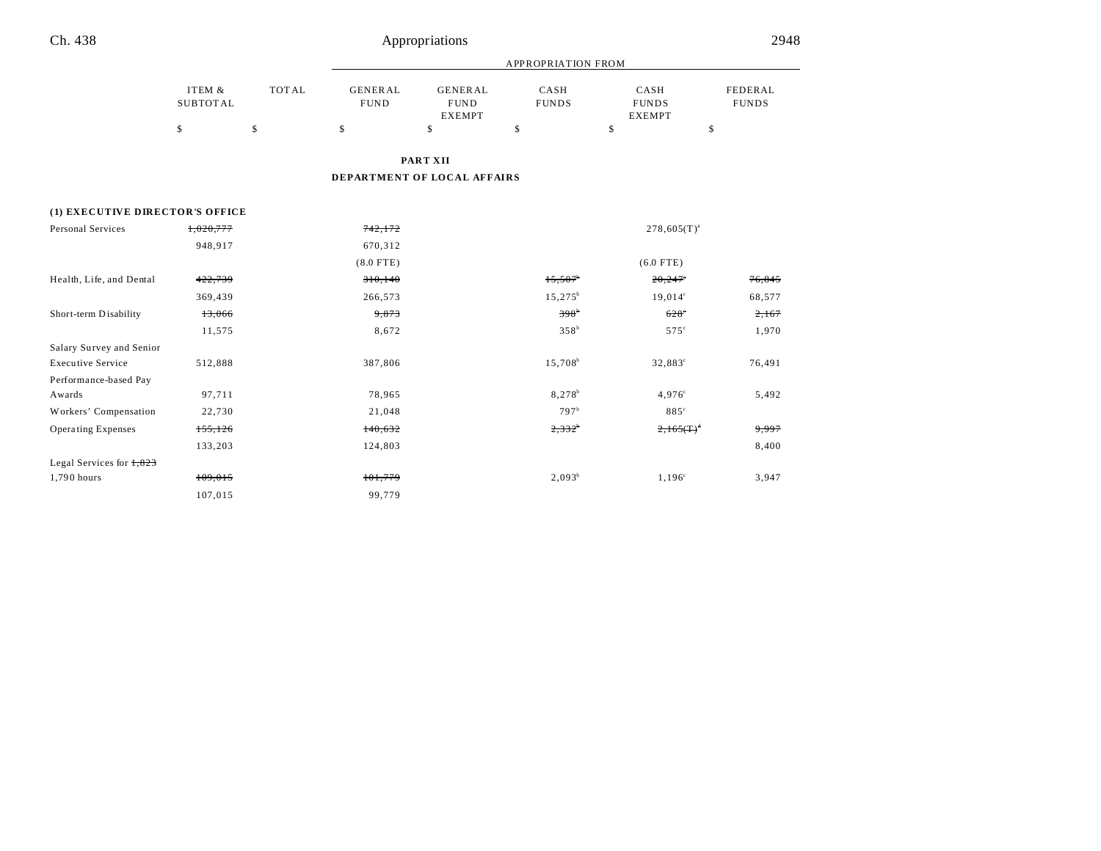|                                 |                           |              | <b>APPROPRIATION FROM</b>     |                                                |                      |                                       |                         |  |
|---------------------------------|---------------------------|--------------|-------------------------------|------------------------------------------------|----------------------|---------------------------------------|-------------------------|--|
|                                 | ITEM &<br><b>SUBTOTAL</b> | <b>TOTAL</b> | <b>GENERAL</b><br><b>FUND</b> | <b>GENERAL</b><br><b>FUND</b><br><b>EXEMPT</b> | CASH<br><b>FUNDS</b> | CASH<br><b>FUNDS</b><br><b>EXEMPT</b> | FEDERAL<br><b>FUNDS</b> |  |
|                                 | \$                        | \$           | \$                            | \$                                             | \$                   | \$                                    | \$                      |  |
|                                 |                           |              |                               | <b>PART XII</b>                                |                      |                                       |                         |  |
|                                 |                           |              |                               | DEPARTMENT OF LOCAL AFFAIRS                    |                      |                                       |                         |  |
| (1) EXECUTIVE DIRECTOR'S OFFICE |                           |              |                               |                                                |                      |                                       |                         |  |
| Personal Services               | 1,020,777                 |              | 742,172                       |                                                |                      | $278,605(T)^{a}$                      |                         |  |
|                                 | 948,917                   |              | 670,312                       |                                                |                      |                                       |                         |  |
|                                 |                           |              | $(8.0$ FTE)                   |                                                |                      | $(6.0$ FTE)                           |                         |  |
| Health, Life, and Dental        | 422,739                   |              | 310,140                       |                                                | 15,507               | 20,247                                | 76,845                  |  |
|                                 | 369,439                   |              | 266,573                       |                                                | $15,275^b$           | $19,014^{\circ}$                      | 68,577                  |  |
| Short-term Disability           | 13,066                    |              | 9,873                         |                                                | 398 <sup>b</sup>     | $628^\circ$                           | 2,167                   |  |
|                                 | 11,575                    |              | 8,672                         |                                                | 358 <sup>b</sup>     | $575^\circ$                           | 1,970                   |  |
| Salary Survey and Senior        |                           |              |                               |                                                |                      |                                       |                         |  |
| <b>Executive Service</b>        | 512,888                   |              | 387,806                       |                                                | $15,708^b$           | 32,883°                               | 76,491                  |  |
| Performance-based Pay           |                           |              |                               |                                                |                      |                                       |                         |  |
| Awards                          | 97,711                    |              | 78,965                        |                                                | 8,278 <sup>b</sup>   | $4,976^{\circ}$                       | 5,492                   |  |
| Workers' Compensation           | 22,730                    |              | 21,048                        |                                                | 797 <sup>b</sup>     | 885 <sup>c</sup>                      |                         |  |
| <b>Operating Expenses</b>       | 155, 126                  |              | 140,632                       |                                                | $2,332^{\circ}$      | $2.165(T)^4$                          | 9,997                   |  |
|                                 | 133,203                   |              | 124,803                       |                                                |                      |                                       | 8,400                   |  |
| Legal Services for $1,823$      |                           |              |                               |                                                |                      |                                       |                         |  |
| 1,790 hours                     | 109,015                   |              | 101,779                       |                                                | $2,093^b$            | $1,196^{\circ}$                       | 3,947                   |  |
|                                 | 107,015                   |              | 99,779                        |                                                |                      |                                       |                         |  |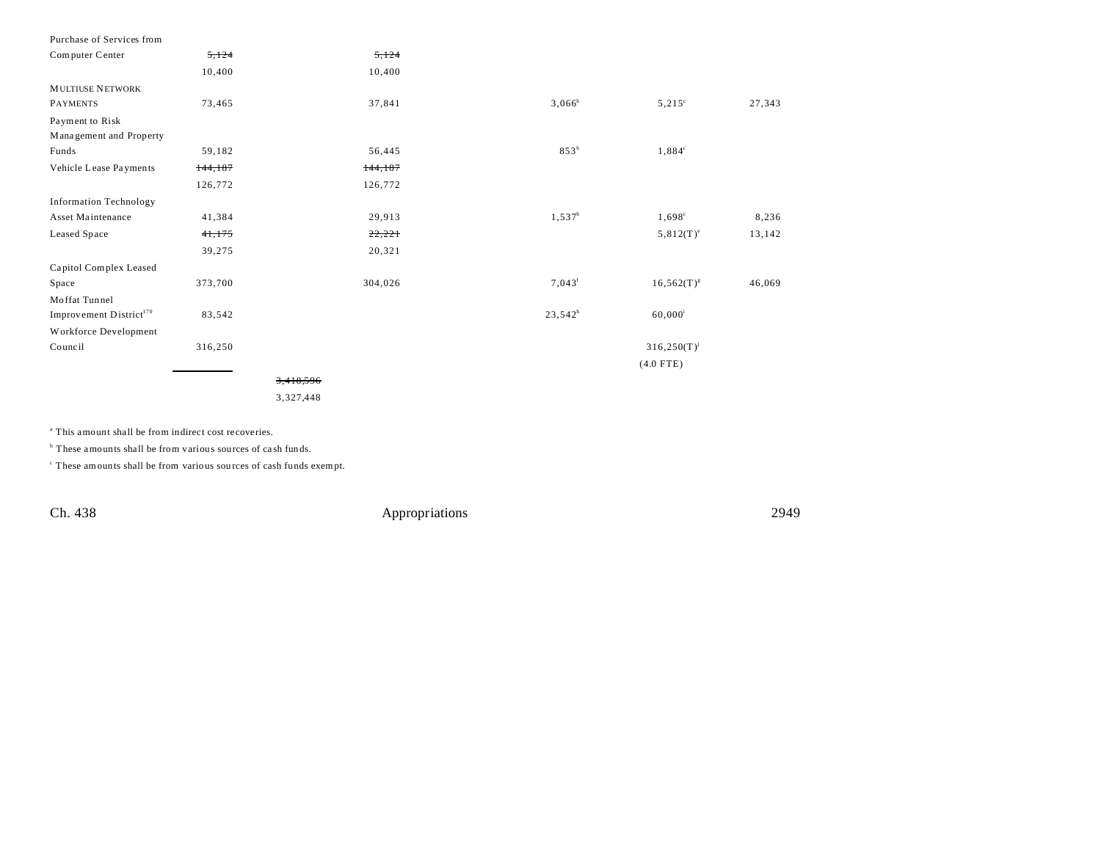| Purchase of Services from           |         |          |                 |                  |        |
|-------------------------------------|---------|----------|-----------------|------------------|--------|
| Computer Center                     | 5,124   | 5,124    |                 |                  |        |
|                                     | 10,400  | 10,400   |                 |                  |        |
| <b>MULTIUSE NETWORK</b>             |         |          |                 |                  |        |
| <b>PAYMENTS</b>                     | 73,465  | 37,841   | $3,066^b$       | $5,215^\circ$    | 27,343 |
| Payment to Risk                     |         |          |                 |                  |        |
| Management and Property             |         |          |                 |                  |        |
| Funds                               | 59,182  | 56,445   | $853^b$         | $1,884^{\circ}$  |        |
| Vehicle Lease Payments              | 144,187 | 144, 187 |                 |                  |        |
|                                     | 126,772 | 126,772  |                 |                  |        |
| <b>Information Technology</b>       |         |          |                 |                  |        |
| Asset Maintenance                   | 41,384  | 29,913   | $1,537^b$       | $1,698^{\circ}$  | 8,236  |
| Leased Space                        | 41,175  | 22,221   |                 | $5,812(T)^e$     | 13,142 |
|                                     | 39,275  | 20,321   |                 |                  |        |
| Capitol Complex Leased              |         |          |                 |                  |        |
| Space                               | 373,700 | 304,026  | $7,043^{\rm f}$ | $16,562(T)^{g}$  | 46,069 |
| Moffat Tunnel                       |         |          |                 |                  |        |
| Improvement District <sup>170</sup> | 83,542  |          | $23,542^h$      | $60,000^{\rm i}$ |        |
| Workforce Development               |         |          |                 |                  |        |
| Council                             | 316,250 |          |                 | $316,250(T)^{j}$ |        |
|                                     |         |          |                 | $(4.0$ FTE)      |        |
|                                     |         | 3.418.5  |                 |                  |        |

3,327,448

a This amount shall be from indirect cost recoveries.

<sup>b</sup> These amounts shall be from various sources of cash funds.

c These amounts shall be from various sou rces of cash funds exempt.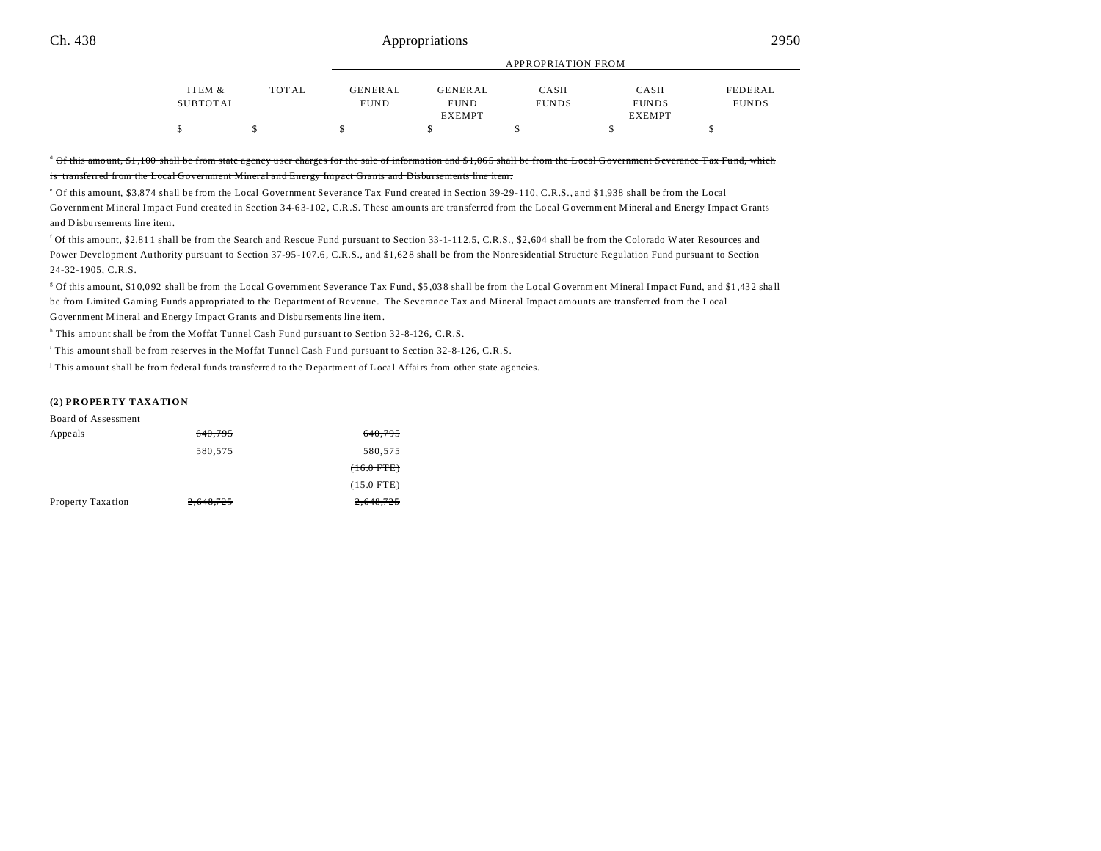#### Ch. 438 2950

| <b>TOTAL</b> | <b>GENERAL</b> | <b>GENERAL</b> | CASH         | CASH          | FEDERAL            |  |
|--------------|----------------|----------------|--------------|---------------|--------------------|--|
|              | <b>FUND</b>    | <b>FUND</b>    | <b>FUNDS</b> | <b>FUNDS</b>  | <b>FUNDS</b>       |  |
|              |                | <b>EXEMPT</b>  |              | <b>EXEMPT</b> |                    |  |
|              |                |                |              |               |                    |  |
|              |                |                |              |               | APPROPRIATION FROM |  |

#### $^{\ast}$  Of this amount,  $$1,100$  shall be from state agency user charges for the sale of information and  $$1,065$  shall be from is transferred from the Local Government Mineral and Energy Impact Grants and Disbursements line item.

e Of this amount, \$3,874 shall be from the Local Government Severance Tax Fund created in Section 39-29-110, C.R.S., and \$1,938 shall be from the Local Government Mineral Impact Fund created in Section 34-63-102, C.R.S. These amounts are transferred from the Local Government Mineral and Energy Impact Grants and Disbursements line item.

<sup>f</sup> Of this amount, \$2,811 shall be from the Search and Rescue Fund pursuant to Section 33-1-112.5, C.R.S., \$2,604 shall be from the Colorado Water Resources and Power Development Authority pursuant to Section 37-95-107.6, C.R.S., and \$1,628 shall be from the Nonresidential Structure Regulation Fund pursuant to Section 24-32-1905, C.R.S.

<sup>g</sup> Of this amount, \$10,092 shall be from the Local Government Severance Tax Fund, \$5,038 shall be from the Local Government Mineral Impact Fund, and \$1,432 shall be from Limited Gaming Funds appropriated to the Department of Revenue. The Severance Tax and Mineral Impact amounts are transferred from the Local Government Mineral and Energy Impact Grants and Disbursements line item.

<sup>h</sup> This amount shall be from the Moffat Tunnel Cash Fund pursuant to Section 32-8-126, C.R.S.

i This amount shall be from reserves in the Moffat Tunnel Cash Fund pursuant to Section 32-8-126, C.R.S.

This amount shall be from federal funds transferred to the Department of Local Affairs from other state agencies.

#### **(2) PROPERTY TAXATION**

|  | Board of Assessment |
|--|---------------------|
|--|---------------------|

| Appeals           | 640,795   | 640,795      |
|-------------------|-----------|--------------|
|                   | 580,575   | 580,575      |
|                   |           | $(+6.0$ FTE) |
|                   |           | $(15.0$ FTE) |
| Property Taxation | 2,648,725 | 2,648,725    |
|                   |           |              |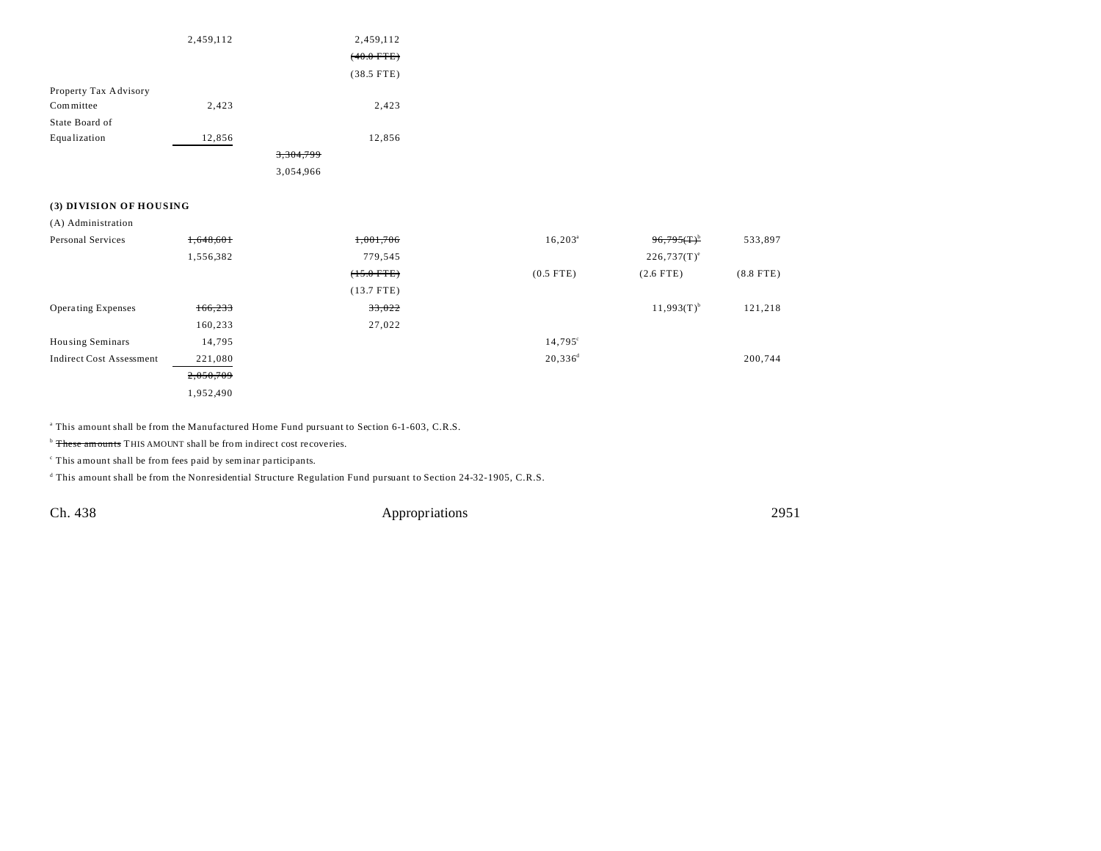|                       | 2,459,112 |           | 2,459,112            |
|-----------------------|-----------|-----------|----------------------|
|                       |           |           | $(40.0 \text{ FTE})$ |
|                       |           |           | $(38.5$ FTE)         |
| Property Tax Advisory |           |           |                      |
| Committee             | 2,423     |           | 2,423                |
| State Board of        |           |           |                      |
| Equalization          | 12,856    |           | 12,856               |
|                       |           | 3,304,799 |                      |
|                       |           | 3,054,966 |                      |

### **(3) DIVISION OF HOUSING**

(A) Administration

| Personal Services               | 1,648,601 | 1,001,706    | $16,203^{\circ}$ | $96,795$ (T) <sup>b</sup> | 533,897     |
|---------------------------------|-----------|--------------|------------------|---------------------------|-------------|
|                                 | 1,556,382 | 779,545      |                  | $226,737(T)^e$            |             |
|                                 |           | $(+5.0$ FTE) | $(0.5$ FTE)      | $(2.6$ FTE)               | $(8.8$ FTE) |
|                                 |           | $(13.7$ FTE) |                  |                           |             |
| <b>Operating Expenses</b>       | 166,233   | 33,022       |                  | $11,993(T)^{b}$           | 121,218     |
|                                 | 160,233   | 27,022       |                  |                           |             |
| <b>Housing Seminars</b>         | 14,795    |              | $14,795^{\circ}$ |                           |             |
| <b>Indirect Cost Assessment</b> | 221,080   |              | $20,336^d$       |                           | 200,744     |
|                                 | 2,050,709 |              |                  |                           |             |
|                                 | 1,952,490 |              |                  |                           |             |

a This amount shall be from the Manufactured Home Fund pursuant to Section 6-1-603, C.R.S.

<sup>b</sup> These amounts THIS AMOUNT shall be from indirect cost recoveries.

<sup>c</sup> This amount shall be from fees paid by seminar participants.

d This amount shall be from the Nonresidential Structure Regulation Fund pursuant to Section 24-32-1905, C.R.S.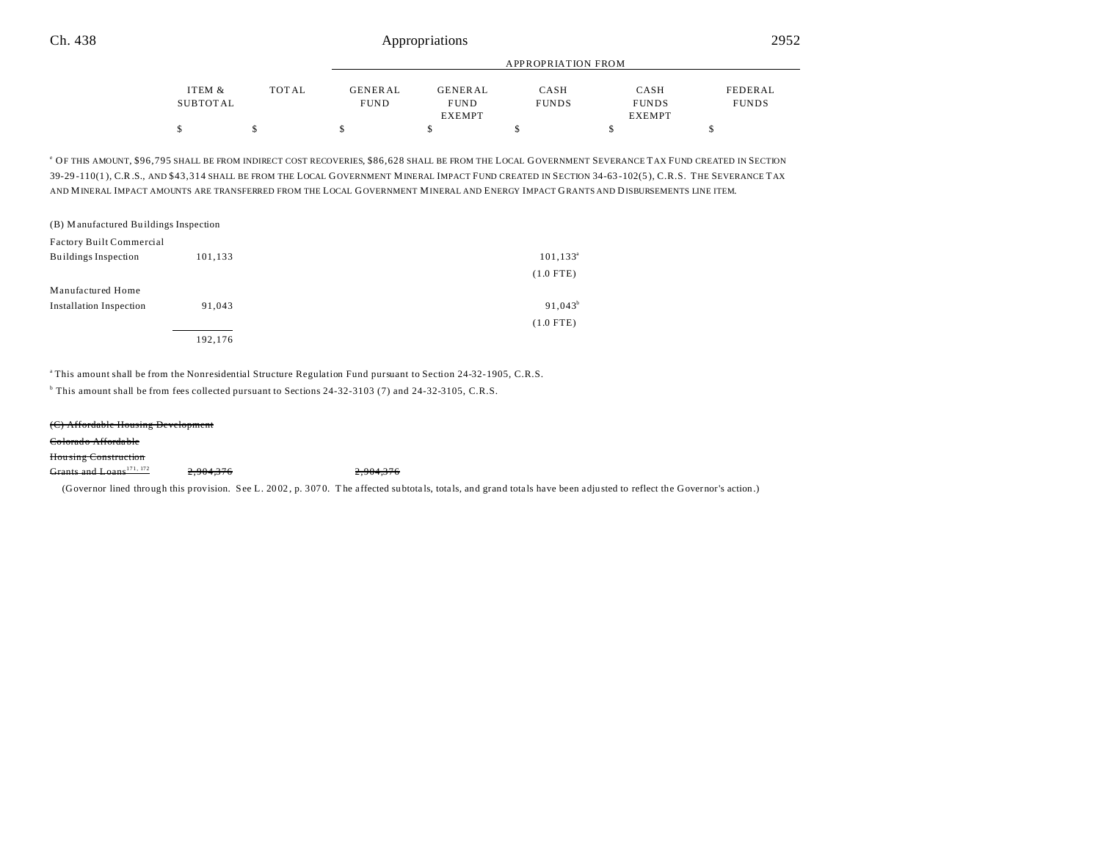|          |       | APPROPRIATION FROM |                |              |               |              |  |
|----------|-------|--------------------|----------------|--------------|---------------|--------------|--|
| ITEM &   | TOTAL | <b>GENERAL</b>     | <b>GENERAL</b> | CASH         | CASH          | FEDERAL      |  |
| SUBTOTAL |       | <b>FUND</b>        | <b>FUND</b>    | <b>FUNDS</b> | <b>FUNDS</b>  | <b>FUNDS</b> |  |
|          |       |                    | EXEMPT         |              | <b>EXEMPT</b> |              |  |
|          |       |                    |                |              |               |              |  |

e OF THIS AMOUNT, \$96,795 SHALL BE FROM INDIRECT COST RECOVERIES, \$86,628 SHALL BE FROM THE LOCAL GOVERNMENT SEVERANCE TAX FUND CREATED IN SECTION 39-29 -110(1 ), C.R.S., AND \$43,314 SHALL BE FROM THE LOCAL GOVERNMENT MINERAL IMPACT FUND CREATED IN SECTION 34-63 -102(5 ), C.R.S. THE SEVERANCE TAX AND MINERAL IMPACT AMOUNTS ARE TRANSFERRED FROM THE LOCAL GOVERNMENT MINERAL AND ENERGY IMPACT GRANTS AND DISBURSEMENTS LINE ITEM.

| (B) Manufactured Buildings Inspection |         |              |
|---------------------------------------|---------|--------------|
| Factory Built Commercial              |         |              |
| Buildings Inspection                  | 101,133 | $101, 133^a$ |
|                                       |         | $(1.0$ FTE)  |
| Manufactured Home                     |         |              |
| <b>Installation Inspection</b>        | 91.043  | $91,043^b$   |
|                                       |         | $(1.0$ FTE)  |
|                                       | 192.176 |              |

<sup>a</sup>This amount shall be from the Nonresidential Structure Regulation Fund pursuant to Section 24-32-1905, C.R.S.

b This amount shall be from fees collected pursuant to Sections 24-32-3103 (7) and 24-32-3105, C.R.S.

(C) Affordable Housing Development

Colorado Afforda ble

Hou sing Construction

Grants and Loans<sup>171, 172</sup> 2,904,376 2,904,376

(Governor lined through this provision. See L. 20 02 , p. 307 0. T he a ffected su btota ls, tota ls, and grand tota ls have been adjusted to reflect the Governor's action.)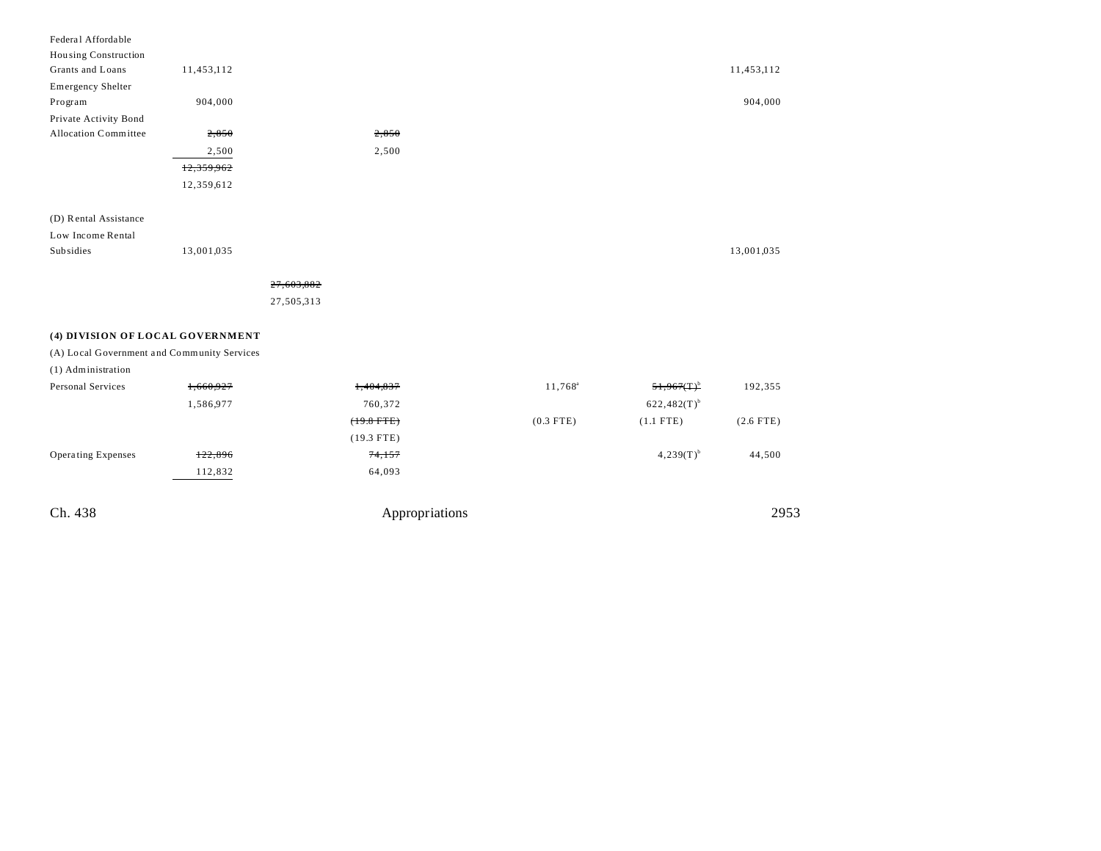| Ch. 438                                     |            |            | Appropriations |             |                  | 2953        |
|---------------------------------------------|------------|------------|----------------|-------------|------------------|-------------|
|                                             | 112,832    |            | 64,093         |             |                  |             |
| <b>Operating Expenses</b>                   | 122,896    |            | 74,157         |             | $4,239(T)^{b}$   | 44,500      |
|                                             |            |            | $(19.3$ FTE)   |             |                  |             |
|                                             |            |            | $(19.8$ FTE)   | $(0.3$ FTE) | $(1.1$ FTE)      | $(2.6$ FTE) |
|                                             | 1,586,977  |            | 760,372        |             | $622,482(T)^{b}$ |             |
| <b>Personal Services</b>                    | 1,660,927  |            | 1,404,837      | $11,768^a$  | $51,967(T)^b$    | 192,355     |
| (1) Administration                          |            |            |                |             |                  |             |
| (A) Local Government and Community Services |            |            |                |             |                  |             |
| (4) DIVISION OF LOCAL GOVERNMENT            |            |            |                |             |                  |             |
|                                             |            |            |                |             |                  |             |
|                                             |            | 27,505,313 |                |             |                  |             |
|                                             |            | 27,603,882 |                |             |                  |             |
| Subsidies                                   | 13,001,035 |            |                |             |                  | 13,001,035  |
| Low Income Rental                           |            |            |                |             |                  |             |
| (D) Rental Assistance                       |            |            |                |             |                  |             |
|                                             |            |            |                |             |                  |             |
|                                             | 12,359,612 |            |                |             |                  |             |
|                                             | 12,359,962 |            |                |             |                  |             |
|                                             | 2,500      |            | 2,500          |             |                  |             |
| Allocation Committee                        | 2,850      |            | 2,850          |             |                  |             |
| Private Activity Bond                       |            |            |                |             |                  |             |
| Program                                     | 904,000    |            |                |             |                  | 904,000     |
| <b>Emergency Shelter</b>                    |            |            |                |             |                  |             |
| Housing Construction<br>Grants and Loans    | 11,453,112 |            |                |             |                  | 11,453,112  |
| Federal Affordable                          |            |            |                |             |                  |             |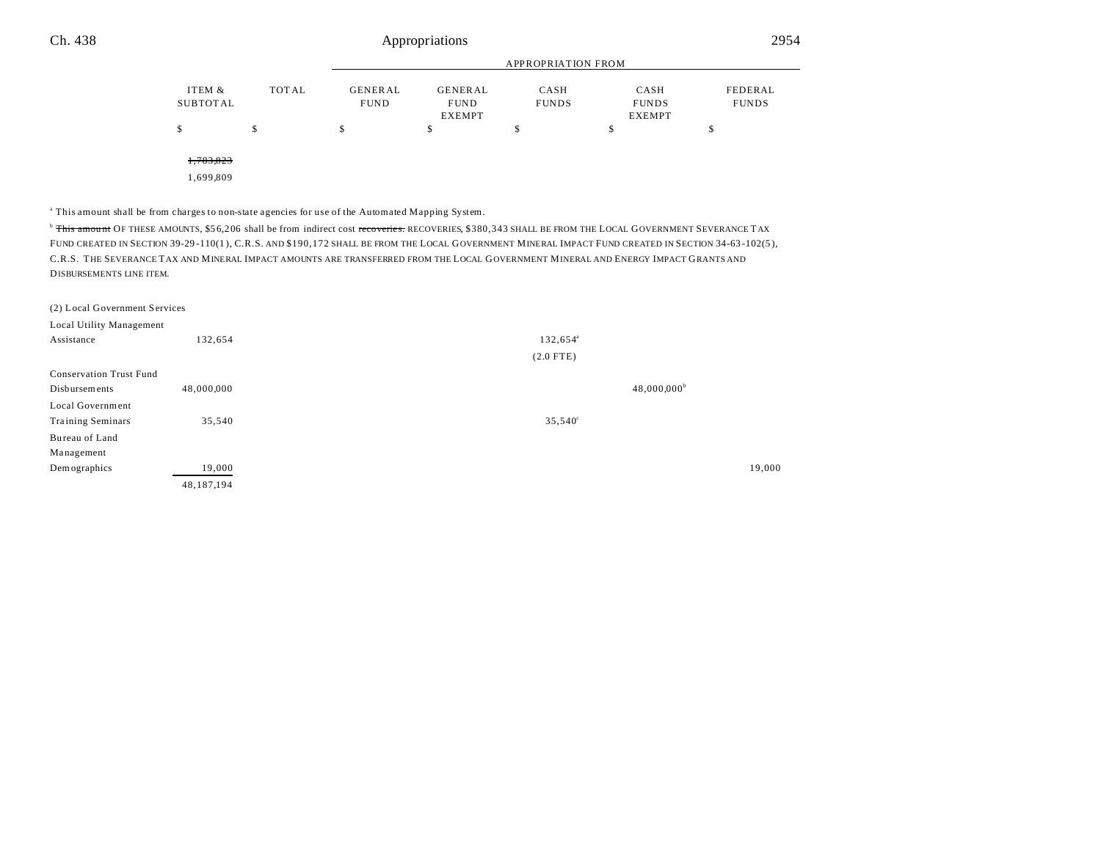|                    |              |                               | APPROPRIATION FROM                             |                      |                                       |                         |  |
|--------------------|--------------|-------------------------------|------------------------------------------------|----------------------|---------------------------------------|-------------------------|--|
| ITEM &<br>SUBTOTAL | <b>TOTAL</b> | <b>GENERAL</b><br><b>FUND</b> | <b>GENERAL</b><br><b>FUND</b><br><b>EXEMPT</b> | CASH<br><b>FUNDS</b> | CASH<br><b>FUNDS</b><br><b>EXEMPT</b> | FEDERAL<br><b>FUNDS</b> |  |
|                    | \$           | \$                            | \$                                             | \$                   | \$                                    | \$                      |  |
| 1,783,823          |              |                               |                                                |                      |                                       |                         |  |
| 1,699,809          |              |                               |                                                |                      |                                       |                         |  |

a This amount shall be from charges to non-state agencies for use of the Automated Mapping System.

<sup>b</sup> This amount OF THESE AMOUNTS, \$56,206 shall be from indirect cost recoveries. RECOVERIES, \$380,343 SHALL BE FROM THE LOCAL GOVERNMENT SEVERANCE TAX FUND CREATED IN SECTION 39-29-110(1), C.R.S. AND \$190,172 SHALL BE FROM THE LOCAL GOVERNMENT MINERAL IMPACT FUND CREATED IN SECTION 34-63-102(5), C.R.S. THE SEVERANCE TAX AND MINERAL IMPACT AMOUNTS ARE TRANSFERRED FROM THE LOCAL GOVERNMENT MINERAL AND ENERGY IMPACT GRANTS AND DISBURSEMENTS LINE ITEM.

| (2) Local Government Services  |              |                      |                      |        |
|--------------------------------|--------------|----------------------|----------------------|--------|
| Local Utility Management       |              |                      |                      |        |
| Assistance                     | 132,654      | 132,654 <sup>ª</sup> |                      |        |
|                                |              | $(2.0$ FTE)          |                      |        |
| <b>Conservation Trust Fund</b> |              |                      |                      |        |
| Disbursements                  | 48,000,000   |                      | $48,000,000^{\rm b}$ |        |
| Local Government               |              |                      |                      |        |
| <b>Training Seminars</b>       | 35,540       | $35,540^{\circ}$     |                      |        |
| Bureau of Land                 |              |                      |                      |        |
| Management                     |              |                      |                      |        |
| Demographics                   | 19,000       |                      |                      | 19,000 |
|                                | 48, 187, 194 |                      |                      |        |
|                                |              |                      |                      |        |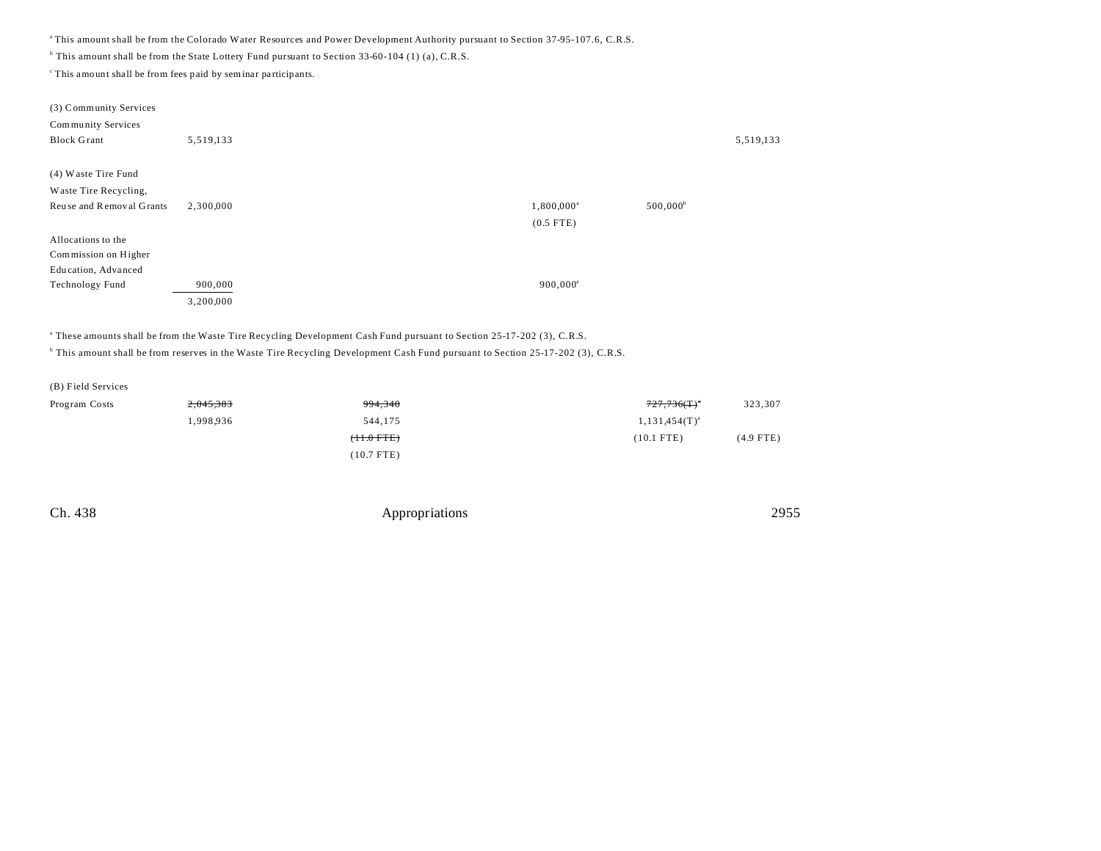<sup>a</sup>This amount shall be from the Colorado Water Resources and Power Development Authority pursuant to Section 37-95-107.6, C.R.S.

<sup>b</sup> This amount shall be from the State Lottery Fund pursuant to Section 33-60-104 (1) (a), C.R.S.

 $\degree$ This amount shall be from fees paid by seminar participants.

| (3) Community Services   |           |                     |                   |
|--------------------------|-----------|---------------------|-------------------|
| Community Services       |           |                     |                   |
| <b>Block Grant</b>       | 5,519,133 |                     | 5,519,133         |
|                          |           |                     |                   |
| (4) Waste Tire Fund      |           |                     |                   |
| Waste Tire Recycling,    |           |                     |                   |
| Reuse and Removal Grants | 2,300,000 | $1,800,000^{\circ}$ | $500,000^{\circ}$ |
|                          |           | $(0.5$ FTE)         |                   |
| Allocations to the       |           |                     |                   |
| Commission on Higher     |           |                     |                   |
| Education, Advanced      |           |                     |                   |
| Technology Fund          | 900,000   | $900,000^a$         |                   |
|                          | 3,200,000 |                     |                   |
|                          |           |                     |                   |

a These amounts shall be from the Waste Tire Recycling Development Cash Fund pursuant to Section 25-17-202 (3), C.R.S.

<sup>b</sup> This amount shall be from reserves in the Waste Tire Recycling Development Cash Fund pursuant to Section 25-17-202 (3), C.R.S.

| Program Costs | <del>2,045,383</del> | 994,340         | 323,307<br>$727,736($ T) $^{\circ}$ |
|---------------|----------------------|-----------------|-------------------------------------|
|               | 1,998,936            | 544,175         | $1,131,454(T)^{a}$                  |
|               |                      | $(11.0$ FTE $)$ | $(10.1$ FTE)<br>(4.9 FTE)           |
|               |                      | $(10.7$ FTE)    |                                     |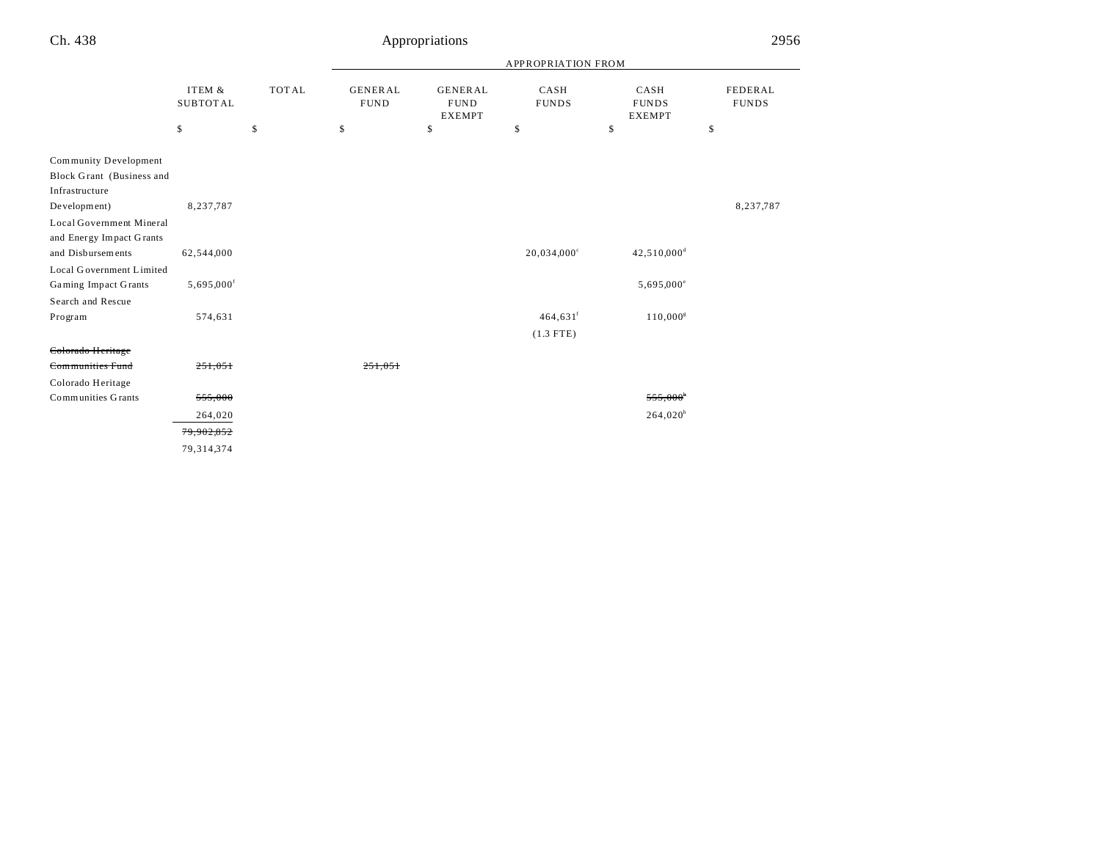## Appropriations 2956

|                                                                      |                           |              |                               | <b>APPROPRIATION FROM</b>                      |                        |                                       |                         |
|----------------------------------------------------------------------|---------------------------|--------------|-------------------------------|------------------------------------------------|------------------------|---------------------------------------|-------------------------|
|                                                                      | ITEM &<br><b>SUBTOTAL</b> | <b>TOTAL</b> | <b>GENERAL</b><br><b>FUND</b> | <b>GENERAL</b><br><b>FUND</b><br><b>EXEMPT</b> | CASH<br><b>FUNDS</b>   | CASH<br><b>FUNDS</b><br><b>EXEMPT</b> | FEDERAL<br><b>FUNDS</b> |
|                                                                      | \$                        | \$           | \$                            | \$                                             | \$                     | \$                                    | \$                      |
| Community Development<br>Block Grant (Business and<br>Infrastructure |                           |              |                               |                                                |                        |                                       |                         |
| Development)                                                         | 8,237,787                 |              |                               |                                                |                        |                                       | 8,237,787               |
| Local Government Mineral<br>and Energy Impact Grants                 |                           |              |                               |                                                |                        |                                       |                         |
| and Disbursements                                                    | 62,544,000                |              |                               |                                                | $20,034,000^{\circ}$   | $42,510,000$ <sup>d</sup>             |                         |
| Local Government Limited                                             |                           |              |                               |                                                |                        |                                       |                         |
| <b>Gaming Impact Grants</b>                                          | $5,695,000$ <sup>f</sup>  |              |                               |                                                |                        | $5,695,000^{\circ}$                   |                         |
| Search and Rescue                                                    |                           |              |                               |                                                |                        |                                       |                         |
| Program                                                              | 574,631                   |              |                               |                                                | $464,631$ <sup>f</sup> | $110,000^s$                           |                         |
|                                                                      |                           |              |                               |                                                | $(1.3$ FTE)            |                                       |                         |
| Colorado Heritage                                                    |                           |              |                               |                                                |                        |                                       |                         |
| Communities Fund                                                     | 251,051                   |              | 251.051                       |                                                |                        |                                       |                         |
| Colorado Heritage                                                    |                           |              |                               |                                                |                        |                                       |                         |
| Communities Grants                                                   | 555,000                   |              |                               |                                                |                        | $555,000$ <sup>*</sup>                |                         |
|                                                                      | 264,020                   |              |                               |                                                |                        | 264,020 <sup>h</sup>                  |                         |
|                                                                      | 79,902,852                |              |                               |                                                |                        |                                       |                         |
|                                                                      | 79, 314, 374              |              |                               |                                                |                        |                                       |                         |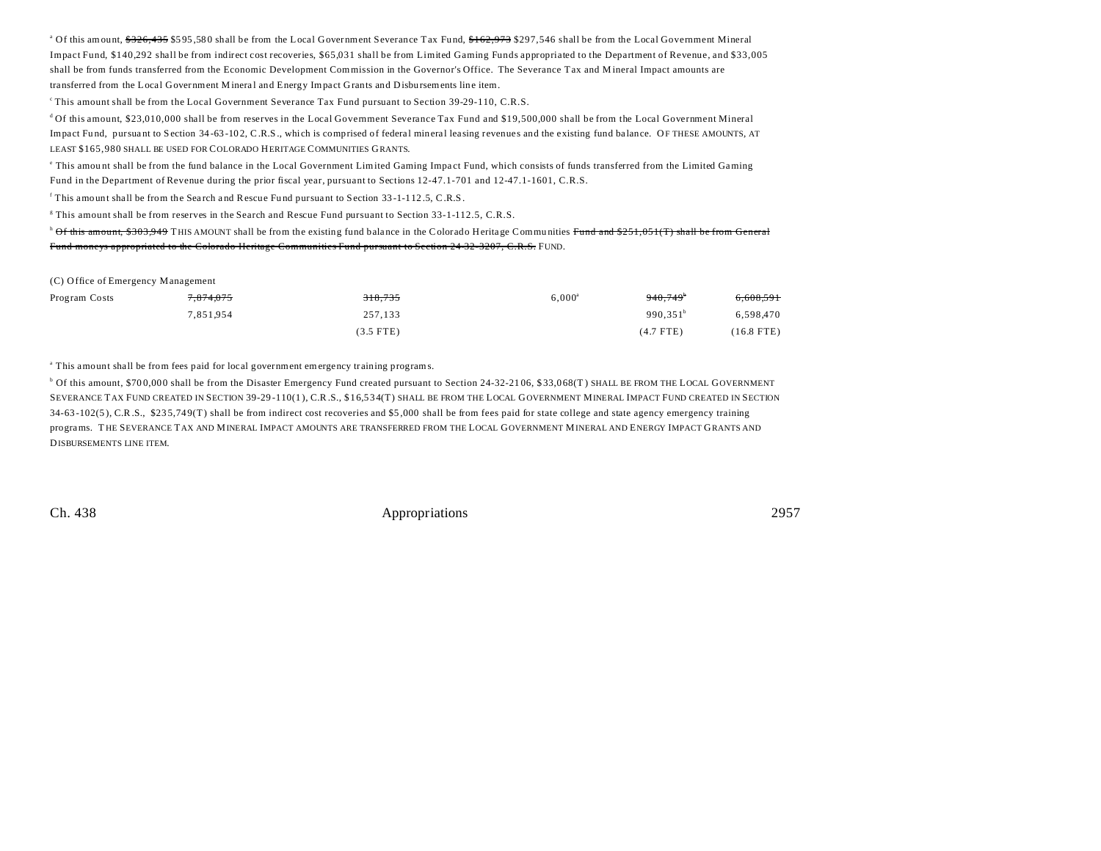<sup>a</sup> Of this amount, <del>\$326,435</del> \$595,580 shall be from the Local Government Severance Tax Fund, <del>\$162,973</del> \$297,546 shall be from the Local Government Mineral Impact Fund, \$140,292 shall be from indirect cost recoveries, \$65,031 shall be from Limited Gaming Funds appropriated to the Department of Revenue, and \$33,005 shall be from funds transferred from the Economic Development Commission in the Governor's Office. The Severance Tax and M ineral Impact amounts are transferred from the Local Government Mineral and Energy Impact Grants and Disbursements line item.

<sup>c</sup>This amount shall be from the Local Government Severance Tax Fund pursuant to Section 39-29-110, C.R.S.

<sup>d</sup>Of this amount, \$23,010,000 shall be from reserves in the Local Government Severance Tax Fund and \$19,500,000 shall be from the Local Government Mineral Impact Fund, pursuant to Section 34-63-102, C.R.S., which is comprised of federal mineral leasing revenues and the existing fund balance. OF THESE AMOUNTS, AT LEAST \$165,980 SHALL BE USED FOR COLORADO HERITAGE COMMUNITIES GRANTS.

This amount shall be from the fund balance in the Local Government Limited Gaming Impact Fund, which consists of funds transferred from the Limited Gaming Fund in the Department of Revenue during the prior fiscal year, pursuant to Sections 12-47.1-701 and 12-47.1-1601, C.R.S.

This amount shall be from the Search and Rescue Fund pursuant to Section 33-1-112.5, C.R.S.

<sup>g</sup> This amount shall be from reserves in the Search and Rescue Fund pursuant to Section 33-1-112.5, C.R.S.

<sup>h</sup> Of this amount, \$303,949 THIS AMOUNT shall be from the existing fund balance in the Colorado Heritage Communities Fund and \$251,051(T) shall be from General Fund moneys appropriated to the Colorado Heritage Communities Fund pursuant to Section 24-32-3207, C.R.S. FUND.

|  |  |  | (C) Office of Emergency Management |  |  |
|--|--|--|------------------------------------|--|--|
|--|--|--|------------------------------------|--|--|

| Program Costs | <del>7,874,075</del> | 318,735     | $6,000^{\rm a}$ | $940.749^{\circ}$ | 6,608,591    |
|---------------|----------------------|-------------|-----------------|-------------------|--------------|
|               | 7.851.954            | 257.133     |                 | $990.351^b$       | 6,598,470    |
|               |                      | $(3.5$ FTE) |                 | $(4.7$ FTE)       | $(16.8$ FTE) |

<sup>a</sup> This amount shall be from fees paid for local government emergency training programs.

<sup>b</sup> Of this amount, \$700,000 shall be from the Disaster Emergency Fund created pursuant to Section 24-32-2106, \$33,068(T) SHALL BE FROM THE LOCAL GOVERNMENT SEVERANCE TAX FUND CREATED IN SECTION 39-29 -110(1 ), C.R.S., \$16,534(T) SHALL BE FROM THE LOCAL GOVERNMENT MINERAL IMPACT FUND CREATED IN SECTION 34-63 -102(5 ), C.R.S., \$23 5,74 9(T) shall be from indirect cost recoveries and \$5 ,000 shall be from fees paid for state college and state agency emergency training programs. T HE SEVERANCE TAX AND MINERAL IMPACT AMOUNTS ARE TRANSFERRED FROM THE LOCAL GOVERNMENT MINERAL AND ENERGY IMPACT GRANTS AND DISBURSEMENTS LINE ITEM.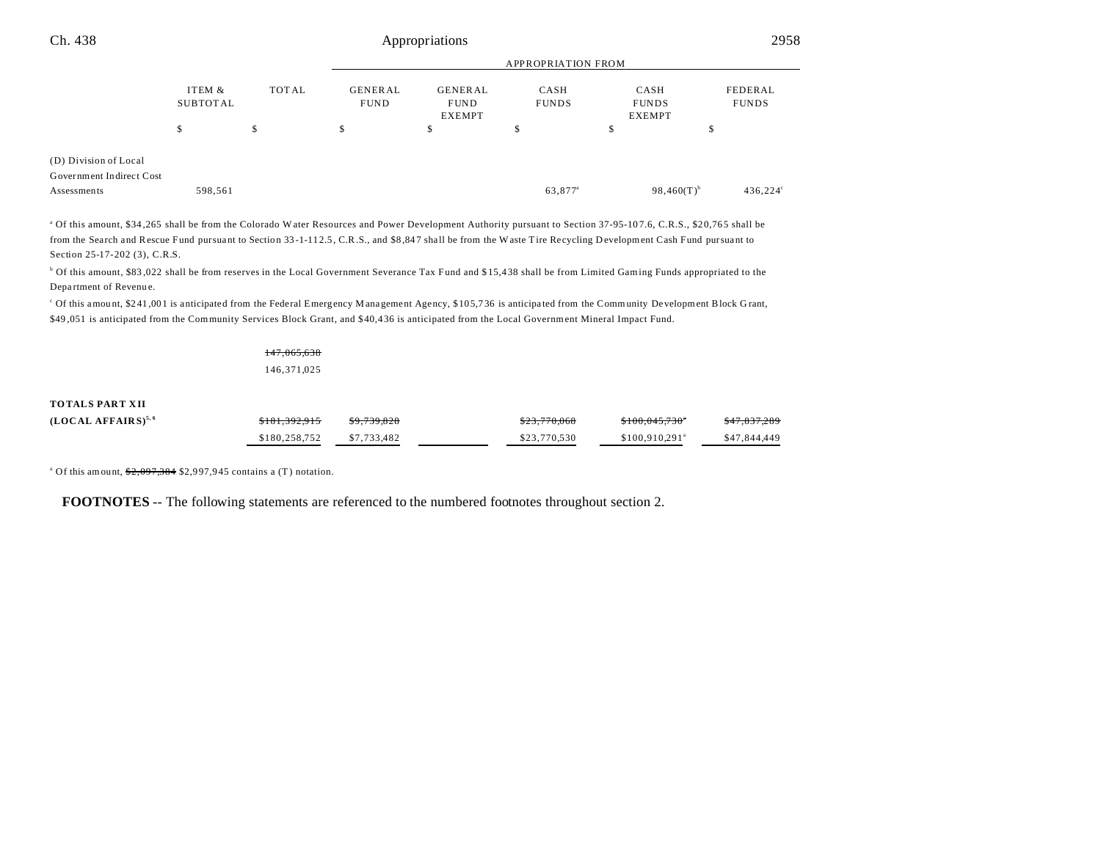|                          |                             |    | <b>APPROPRIATION FROM</b>                                                       |    |                                                               |                 |                         |  |
|--------------------------|-----------------------------|----|---------------------------------------------------------------------------------|----|---------------------------------------------------------------|-----------------|-------------------------|--|
|                          | ITEM &<br>TOTAL<br>SUBTOTAL |    | <b>GENERAL</b><br><b>GENERAL</b><br><b>FUND</b><br><b>FUND</b><br><b>EXEMPT</b> |    | CASH<br>CASH<br><b>FUNDS</b><br><b>FUNDS</b><br><b>EXEMPT</b> |                 | FEDERAL<br><b>FUNDS</b> |  |
|                          | \$                          | \$ | \$                                                                              | \$ | \$                                                            | \$              | \$                      |  |
| (D) Division of Local    |                             |    |                                                                                 |    |                                                               |                 |                         |  |
| Government Indirect Cost |                             |    |                                                                                 |    |                                                               |                 |                         |  |
| Assessments              | 598,561                     |    |                                                                                 |    | 63,877 <sup>a</sup>                                           | $98,460(T)^{b}$ | 436,224°                |  |

<sup>a</sup> Of this amount, \$34,265 shall be from the Colorado Water Resources and Power Development Authority pursuant to Section 37-95-107.6, C.R.S., \$20,765 shall be from the Search and Rescue Fund pursuant to Section 33-1-112.5, C.R.S., and \$8,847 shall be from the Waste Tire Recycling D evelopment Cash Fund pursuant to Section 25-17-202 (3), C.R.S.

b Of this amount, \$83 ,022 shall be from reserves in the Local Government Severance Tax Fund and \$ 15,4 38 shall be from Limited Gaming Funds appropriated to the Department of Revenue.

c Of this amou nt, \$2 41 ,00 1 is anticipated from the Federal Emergency M ana gement Agency, \$10 5,7 36 is anticipa ted from the Community Development Block G rant, \$49 ,051 is anticipated from the Community Services Block Grant, and \$40,4 36 is anticipated from the Local Government Mineral Impact Fund.

#### 147,065,638 146,371,025

#### **TOTALS PART XII**

| $(LOCALAFFAIRS)^{5,6}$ | \$181.392.915 | \$9,739,828 | \$23,770,068 | \$100.045.730°             | \$47,837,289 |
|------------------------|---------------|-------------|--------------|----------------------------|--------------|
|                        | \$180,258,752 | \$7.733.482 | \$23,770.530 | \$100.910.291 <sup>a</sup> | \$47,844,449 |

<sup>a</sup> Of this amount,  $\frac{$2,097,384}{$2,997,945}$  contains a (T) notation.

**FOOTNOTES** -- The following statements are referenced to the numbered footnotes throughout section 2.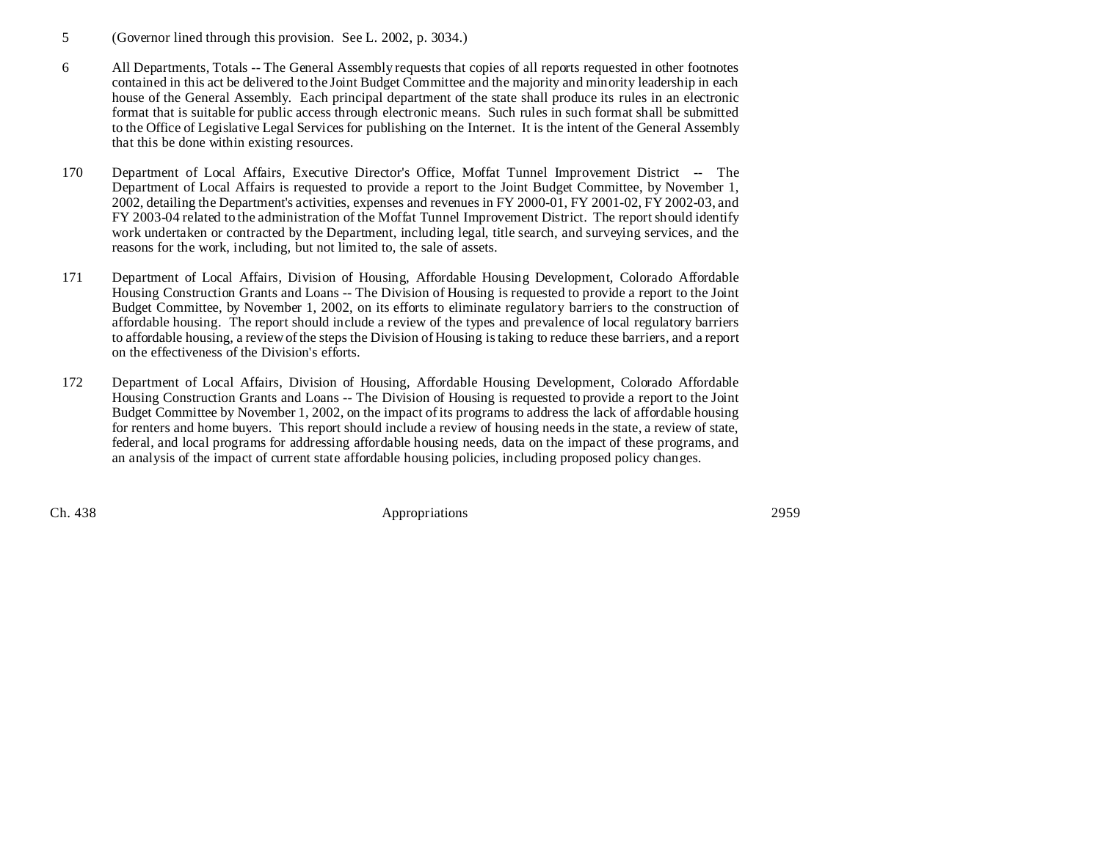- 5 (Governor lined through this provision. See L. 2002, p. 3034.)
- 6 All Departments, Totals -- The General Assembly requests that copies of all reports requested in other footnotes contained in this act be delivered to the Joint Budget Committee and the majority and minority leadership in each house of the General Assembly. Each principal department of the state shall produce its rules in an electronic format that is suitable for public access through electronic means. Such rules in such format shall be submitted to the Office of Legislative Legal Services for publishing on the Internet. It is the intent of the General Assembly that this be done within existing resources.
- 170 Department of Local Affairs, Executive Director's Office, Moffat Tunnel Improvement District -- The Department of Local Affairs is requested to provide a report to the Joint Budget Committee, by November 1, 2002, detailing the Department's activities, expenses and revenues in FY 2000-01, FY 2001-02, FY 2002-03, and FY 2003-04 related to the administration of the Moffat Tunnel Improvement District. The report should identify work undertaken or contracted by the Department, including legal, title search, and surveying services, and the reasons for the work, including, but not limited to, the sale of assets.
- 171 Department of Local Affairs, Division of Housing, Affordable Housing Development, Colorado Affordable Housing Construction Grants and Loans -- The Division of Housing is requested to provide a report to the Joint Budget Committee, by November 1, 2002, on its efforts to eliminate regulatory barriers to the construction of affordable housing. The report should include a review of the types and prevalence of local regulatory barriers to affordable housing, a review of the steps the Division of Housing is taking to reduce these barriers, and a report on the effectiveness of the Division's efforts.
- 172 Department of Local Affairs, Division of Housing, Affordable Housing Development, Colorado Affordable Housing Construction Grants and Loans -- The Division of Housing is requested to provide a report to the Joint Budget Committee by November 1, 2002, on the impact of its programs to address the lack of affordable housing for renters and home buyers. This report should include a review of housing needs in the state, a review of state, federal, and local programs for addressing affordable housing needs, data on the impact of these programs, and an analysis of the impact of current state affordable housing policies, including proposed policy changes.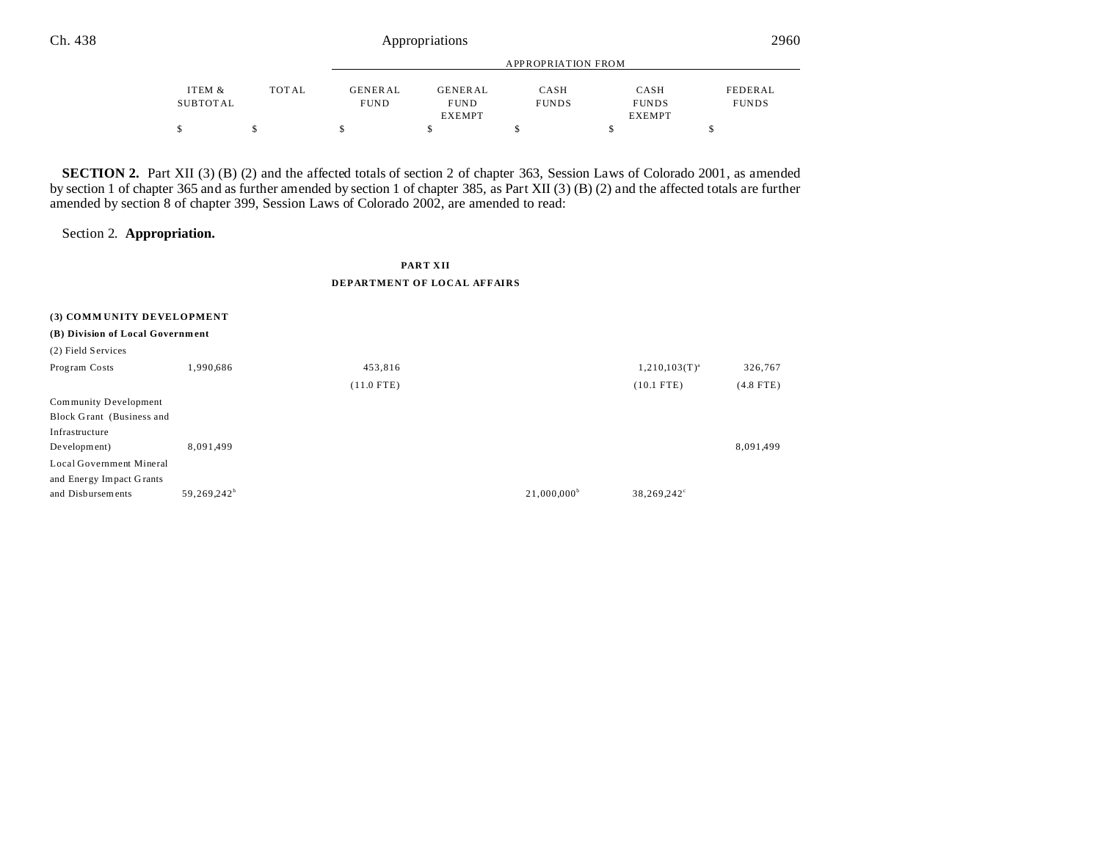|          |       |                | APPROPRIATION FROM |              |               |              |  |
|----------|-------|----------------|--------------------|--------------|---------------|--------------|--|
| ITEM &   | TOTAL | <b>GENERAL</b> | <b>GENERAL</b>     | CASH         | CASH          | FEDERAL      |  |
| SUBTOTAL |       | <b>FUND</b>    | <b>FUND</b>        | <b>FUNDS</b> | <b>FUNDS</b>  | <b>FUNDS</b> |  |
|          |       |                | <b>EXEMPT</b>      |              | <b>EXEMPT</b> |              |  |
|          |       |                |                    |              |               |              |  |

**SECTION 2.** Part XII (3) (B) (2) and the affected totals of section 2 of chapter 363, Session Laws of Colorado 2001, as amended by section 1 of chapter 365 and as further amended by section 1 of chapter 385, as Part XII (3) (B) (2) and the affected totals are further amended by section 8 of chapter 399, Session Laws of Colorado 2002, are amended to read:

Section 2. **Appropriation.**

## **PART XII DEPARTMENT OF LOCAL AFFAIRS**

| (3) COMMUNITY DEVELOPMENT        |                         |              |                      |                    |             |
|----------------------------------|-------------------------|--------------|----------------------|--------------------|-------------|
| (B) Division of Local Government |                         |              |                      |                    |             |
| (2) Field Services               |                         |              |                      |                    |             |
| Program Costs                    | 1,990,686               | 453,816      |                      | $1,210,103(T)^{a}$ | 326,767     |
|                                  |                         | $(11.0$ FTE) |                      | $(10.1$ FTE)       | $(4.8$ FTE) |
| Community Development            |                         |              |                      |                    |             |
| Block Grant (Business and        |                         |              |                      |                    |             |
| Infrastructure                   |                         |              |                      |                    |             |
| Development)                     | 8,091,499               |              |                      |                    | 8,091,499   |
| Local Government Mineral         |                         |              |                      |                    |             |
| and Energy Impact Grants         |                         |              |                      |                    |             |
| and Disbursements                | 59,269,242 <sup>h</sup> |              | $21,000,000^{\circ}$ | 38,269,242°        |             |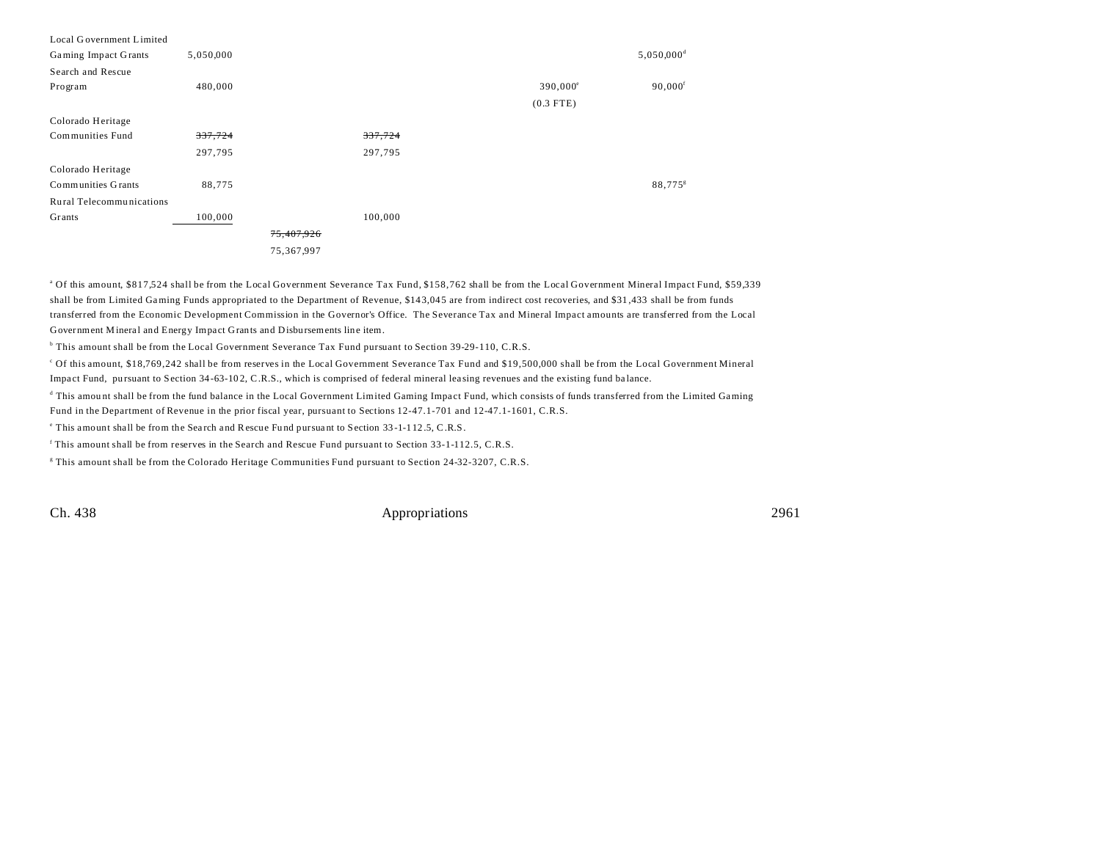| Local Government Limited  |           |            |         |                   |                          |
|---------------------------|-----------|------------|---------|-------------------|--------------------------|
| Gaming Impact Grants      | 5,050,000 |            |         |                   | $5,050,000$ <sup>d</sup> |
| Search and Rescue         |           |            |         |                   |                          |
| Program                   | 480,000   |            |         | $390,000^{\circ}$ | $90,000$ <sup>f</sup>    |
|                           |           |            |         | $(0.3$ FTE)       |                          |
| Colorado Heritage         |           |            |         |                   |                          |
| Communities Fund          | 337,724   |            | 337,724 |                   |                          |
|                           | 297,795   |            | 297,795 |                   |                          |
| Colorado Heritage         |           |            |         |                   |                          |
| <b>Communities Grants</b> | 88,775    |            |         |                   | 88,775 $s$               |
| Rural Telecommunications  |           |            |         |                   |                          |
| Grants                    | 100,000   |            | 100,000 |                   |                          |
|                           |           | 75,407,926 |         |                   |                          |
|                           |           | 75,367,997 |         |                   |                          |
|                           |           |            |         |                   |                          |

a Of this amount, \$817,524 shall be from the Local Government Severance Tax Fund, \$158,762 shall be from the Local Government Mineral Impact Fund, \$59,339 shall be from Limited Gaming Funds appropriated to the Department of Revenue, \$143,045 are from indirect cost recoveries, and \$31,433 shall be from funds transferred from the Economic Development Commission in the Governor's Office. The Severance Tax and Mineral Impact amounts are transferred from the Local Government Mineral and Energy Impact Grants and Disbursements line item.

b This amount shall be from the Local Government Severance Tax Fund pursuant to Section 39-29-110, C.R.S.

c Of this amount, \$18,769,242 shall be from reserves in the Local Government Severance Tax Fund and \$19,500,000 shall be from the Local Government Mineral Impact Fund, pursuant to Section 34-63-102, C.R.S., which is comprised of federal mineral leasing revenues and the existing fund balance.

This amount shall be from the fund balance in the Local Government Limited Gaming Impact Fund, which consists of funds transferred from the Limited Gaming Fund in the Department of Revenue in the prior fiscal year, pursuant to Sections 12-47.1-701 and 12-47.1-1601, C.R.S.

This amount shall be from the Search and Rescue Fund pursuant to Section 33-1-112.5, C.R.S.

f This amount shall be from reserves in the Search and Rescue Fund pursuant to Section 33-1-112.5, C.R.S.

g This amount shall be from the Colorado Heritage Communities Fund pursuant to Section 24-32-3207, C.R.S.